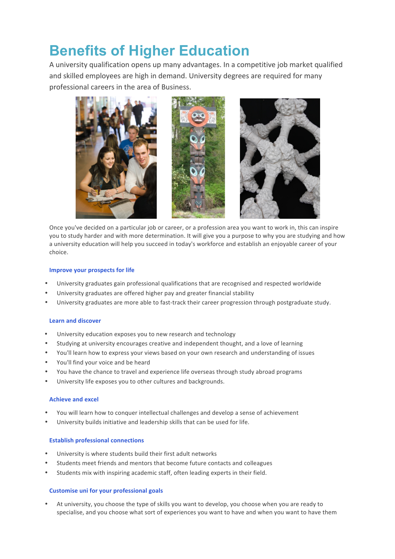# **Benefits of Higher Education**

A university qualification opens up many advantages. In a competitive job market qualified and skilled employees are high in demand. University degrees are required for many professional careers in the area of Business.



Once you've decided on a particular job or career, or a profession area you want to work in, this can inspire you to study harder and with more determination. It will give you a purpose to why you are studying and how a university education will help you succeed in today's workforce and establish an enjoyable career of your choice.

## **Improve your prospects for life**

- University graduates gain professional qualifications that are recognised and respected worldwide
- University graduates are offered higher pay and greater financial stability
- University graduates are more able to fast-track their career progression through postgraduate study.

## **Learn and discover**

- University education exposes you to new research and technology
- Studying at university encourages creative and independent thought, and a love of learning
- You'll learn how to express your views based on your own research and understanding of issues
- You'll find your voice and be heard
- You have the chance to travel and experience life overseas through study abroad programs
- University life exposes you to other cultures and backgrounds.

## **Achieve and excel**

- You will learn how to conquer intellectual challenges and develop a sense of achievement
- University builds initiative and leadership skills that can be used for life.

## **Establish professional connections**

- University is where students build their first adult networks
- Students meet friends and mentors that become future contacts and colleagues
- Students mix with inspiring academic staff, often leading experts in their field.

## **Customise uni for your professional goals**

At university, you choose the type of skills you want to develop, you choose when you are ready to specialise, and you choose what sort of experiences you want to have and when you want to have them